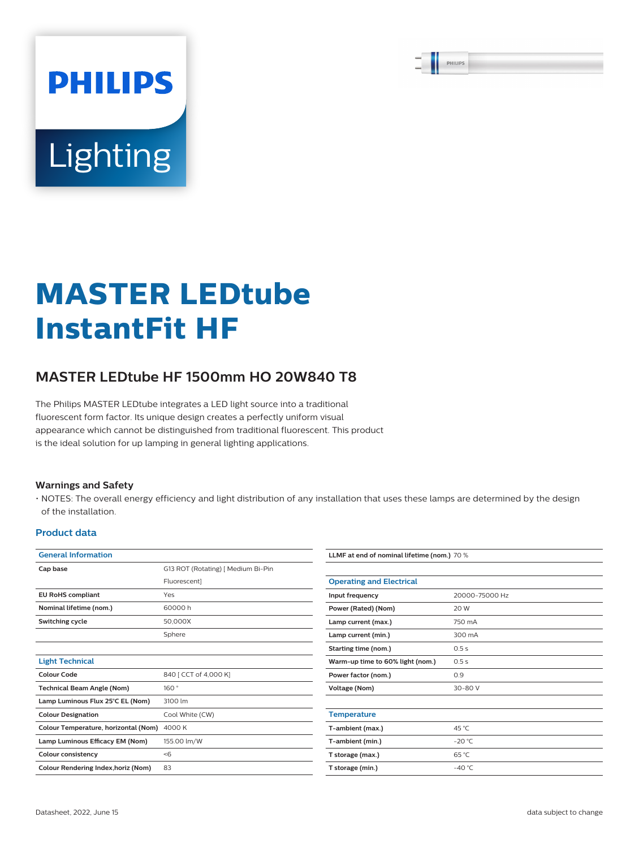PHILIPS

# **Lighting**

**PHILIPS** 

## **MASTER LEDtube InstantFit HF**

### **MASTER LEDtube HF 1500mm HO 20W840 T8**

The Philips MASTER LEDtube integrates a LED light source into a traditional fluorescent form factor. Its unique design creates a perfectly uniform visual appearance which cannot be distinguished from traditional fluorescent. This product is the ideal solution for up lamping in general lighting applications.

#### **Warnings and Safety**

• NOTES: The overall energy efficiency and light distribution of any installation that uses these lamps are determined by the design of the installation.

#### **Product data**

| <b>General Information</b>           |                                    | LLMF at end of nominal lifetime (nom.) 70 % |                  |  |
|--------------------------------------|------------------------------------|---------------------------------------------|------------------|--|
| Cap base                             | G13 ROT (Rotating)   Medium Bi-Pin |                                             |                  |  |
|                                      | Fluorescent]                       | <b>Operating and Electrical</b>             |                  |  |
| <b>EU RoHS compliant</b>             | Yes                                | Input frequency                             | 20000-75000 Hz   |  |
| Nominal lifetime (nom.)              | 60000h                             | Power (Rated) (Nom)                         | 20 W             |  |
| Switching cycle                      | 50,000X                            | Lamp current (max.)                         | 750 mA           |  |
|                                      | Sphere                             | Lamp current (min.)                         | 300 mA           |  |
|                                      |                                    | <b>Starting time (nom.)</b>                 | 0.5s             |  |
| <b>Light Technical</b>               |                                    | Warm-up time to 60% light (nom.)            | 0.5s             |  |
| <b>Colour Code</b>                   | 840   CCT of 4,000 K]              | Power factor (nom.)                         | 0.9              |  |
| <b>Technical Beam Angle (Nom)</b>    | 160°                               | <b>Voltage (Nom)</b>                        | 30-80 V          |  |
| Lamp Luminous Flux 25°C EL (Nom)     | 3100 lm                            |                                             |                  |  |
| <b>Colour Designation</b>            | Cool White (CW)                    | <b>Temperature</b>                          |                  |  |
| Colour Temperature, horizontal (Nom) | 4000 K                             | T-ambient (max.)                            | 45 °C            |  |
| Lamp Luminous Efficacy EM (Nom)      | 155.00 lm/W                        | T-ambient (min.)                            | $-20 °C$         |  |
| <b>Colour consistency</b>            | < 6                                | T storage (max.)                            | 65 °C            |  |
| Colour Rendering Index, horiz (Nom)  | 83                                 | T storage (min.)                            | -40 $^{\circ}$ C |  |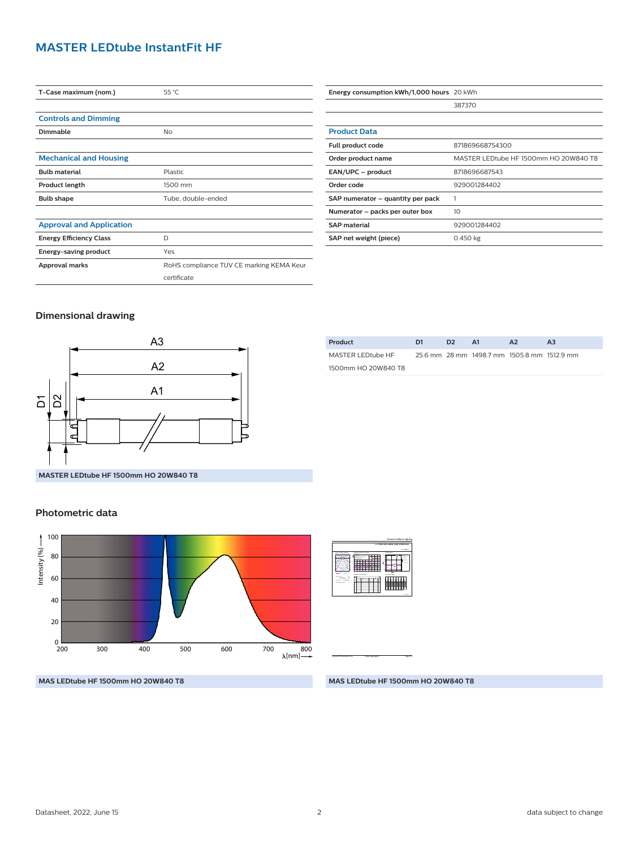#### **MASTER LEDtube InstantFit HF**

| T-Case maximum (nom.)           | 55 °C                                    |
|---------------------------------|------------------------------------------|
|                                 |                                          |
| <b>Controls and Dimming</b>     |                                          |
| Dimmable                        | No                                       |
|                                 |                                          |
| <b>Mechanical and Housing</b>   |                                          |
| <b>Bulb material</b>            | Plastic                                  |
| Product length                  | 1500 mm                                  |
| <b>Bulb shape</b>               | Tube, double-ended                       |
|                                 |                                          |
| <b>Approval and Application</b> |                                          |
| <b>Energy Efficiency Class</b>  | D                                        |
| <b>Energy-saving product</b>    | Yes                                      |
| Approval marks                  | RoHS compliance TUV CE marking KEMA Keur |
|                                 | certificate                              |

| Energy consumption kWh/1,000 hours 20 kWh |                                       |
|-------------------------------------------|---------------------------------------|
|                                           | 387370                                |
|                                           |                                       |
| <b>Product Data</b>                       |                                       |
| Full product code                         | 871869668754300                       |
| Order product name                        | MASTER LEDtube HF 1500mm HO 20W840 T8 |
| EAN/UPC - product                         | 8718696687543                         |
| Order code                                | 929001284402                          |
| SAP numerator – quantity per pack         |                                       |
| Numerator - packs per outer box           | 10                                    |
| <b>SAP material</b>                       | 929001284402                          |
| SAP net weight (piece)                    | 0.450 kg                              |

#### **Dimensional drawing**



| Product             | D1. | D <sub>2</sub> | <b>A1</b>                                   | A2 | A3 |
|---------------------|-----|----------------|---------------------------------------------|----|----|
| MASTER LEDtube HF   |     |                | 25.6 mm 28 mm 1498.7 mm 1505.8 mm 1512.9 mm |    |    |
| 1500mm HO 20W840 T8 |     |                |                                             |    |    |
|                     |     |                |                                             |    |    |

#### **Photometric data**



| 1 x 202 to                                                                                                                                     |  |
|------------------------------------------------------------------------------------------------------------------------------------------------|--|
| <b>GOLdspan</b><br>Questo politicial diametri<br><b>WAS BURNING</b><br>-                                                                       |  |
| $-$<br>=<br>$-104$<br><b>STATISTICS</b><br>٠<br>÷<br>≂<br>Ξ<br>۰<br>٦<br>z.<br>1.01<br><b>Longwood Table</b>                                   |  |
| <b><i><u><u><b>Endlament Burner made</b></u></u></i></b><br><b>STATISTICS</b>                                                                  |  |
| - 22<br>$\sim$<br>bearings 100<br>---<br>. .<br>. .<br>$\sim$                                                                                  |  |
| CORATA<br><b><i><u>State and </u></i></b><br>∷<br>====<br>∷<br>∷<br><b>CONTRACTOR</b><br>×<br>$\sim$<br>11<br>×<br>٠<br>i                      |  |
| Ξ<br>∷<br>===<br>∷<br>ΞI<br>۰<br>Ξ<br>프로<br>222<br>сz<br>==<br>Ξ<br>Ξ<br>Ξ<br>==<br>===<br>::<br>ΞΞ<br>Ξ                                       |  |
| hai san<br>٠<br>es as<br><b>COLLEGE</b><br>in a<br>×<br>$\sim$<br>222<br>a =<br>Ξ<br>==<br>cз<br>Ξ<br>Ξ<br>==<br>222<br>αz<br>Ξ<br>Ξ<br>Ξ<br>Ξ |  |
| $\sim$ $\sim$ $\sim$<br>٠<br>٠<br>u<br>×<br>٠<br>×<br>×<br>u<br>٠<br>====<br>ΞI<br>∷<br>cι<br>Ξ<br>Ξ<br>-<br>----<br>œ<br>oз<br>Ξ<br>==<br>Ξ   |  |
| <b>School School</b><br><b>MAGIN</b>                                                                                                           |  |
|                                                                                                                                                |  |
|                                                                                                                                                |  |
|                                                                                                                                                |  |

 **1 x TLED 20W 4000K 160D 9290012844**

General Uniform Lighting

**MAS LEDtube HF 1500mm HO 20W840 T8**

**MAS LEDtube HF 1500mm HO 20W840 T8**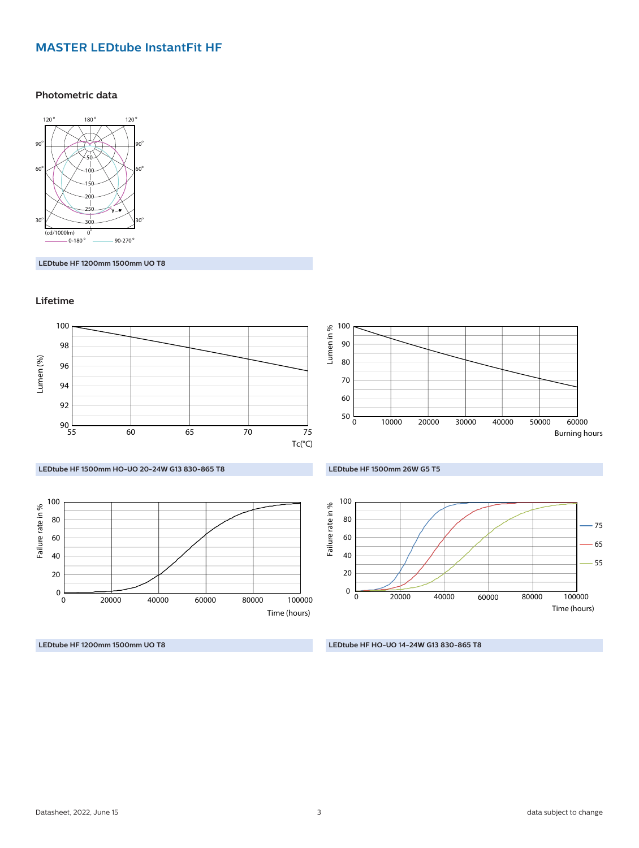#### **MASTER LEDtube InstantFit HF**

#### **Photometric data**



**LEDtube HF 1200mm 1500mm UO T8**

#### **Lifetime**



**LEDtube HF 1200mm 1500mm UO T8**

**LEDtube HF HO-UO 14-24W G13 830-865 T8**